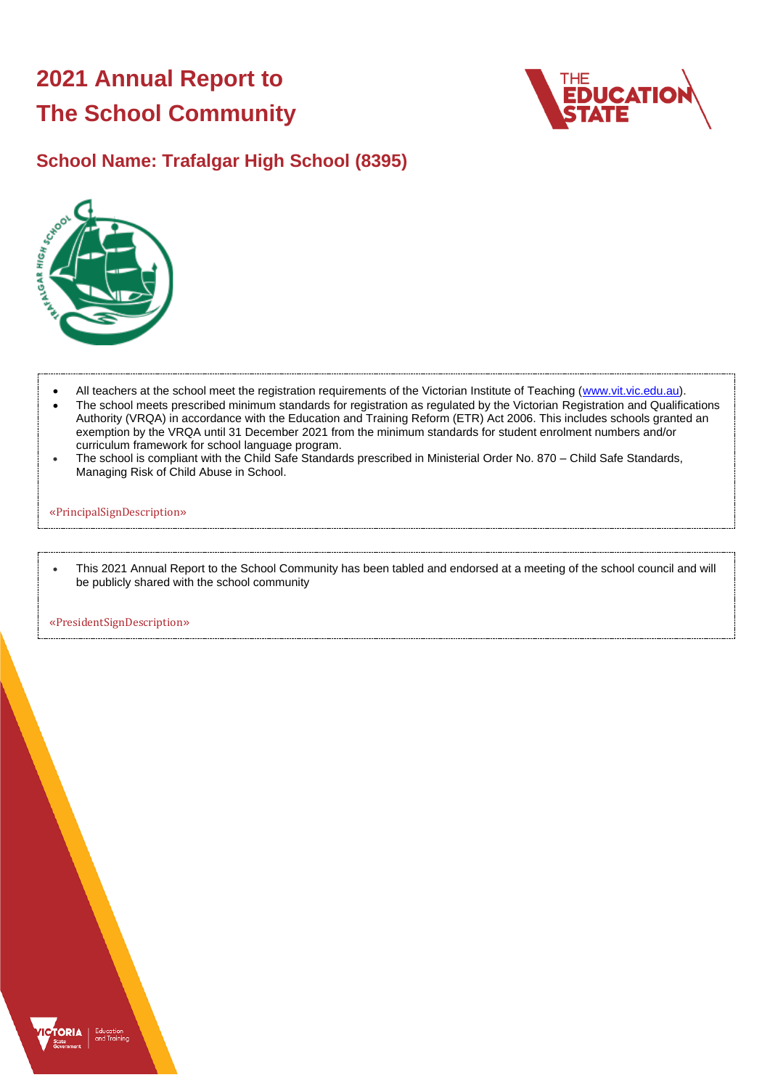# **2021 Annual Report to The School Community**



### **School Name: Trafalgar High School (8395)**



- All teachers at the school meet the registration requirements of the Victorian Institute of Teaching [\(www.vit.vic.edu.au\)](https://www.vit.vic.edu.au/). • The school meets prescribed minimum standards for registration as regulated by the Victorian Registration and Qualifications Authority (VRQA) in accordance with the Education and Training Reform (ETR) Act 2006. This includes schools granted an exemption by the VRQA until 31 December 2021 from the minimum standards for student enrolment numbers and/or curriculum framework for school language program.
- The school is compliant with the Child Safe Standards prescribed in Ministerial Order No. 870 Child Safe Standards, Managing Risk of Child Abuse in School.

#### «PrincipalSignDescription»

• This 2021 Annual Report to the School Community has been tabled and endorsed at a meeting of the school council and will be publicly shared with the school community

«PresidentSignDescription»

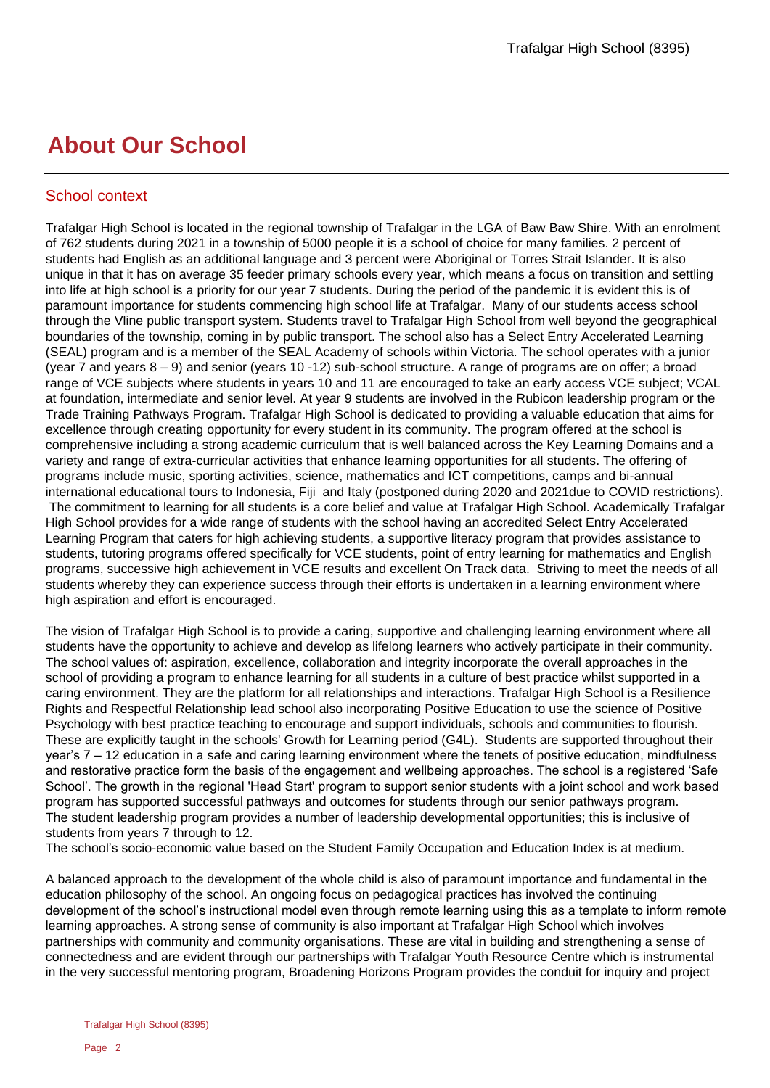## **About Our School**

#### School context

Trafalgar High School is located in the regional township of Trafalgar in the LGA of Baw Baw Shire. With an enrolment of 762 students during 2021 in a township of 5000 people it is a school of choice for many families. 2 percent of students had English as an additional language and 3 percent were Aboriginal or Torres Strait Islander. It is also unique in that it has on average 35 feeder primary schools every year, which means a focus on transition and settling into life at high school is a priority for our year 7 students. During the period of the pandemic it is evident this is of paramount importance for students commencing high school life at Trafalgar. Many of our students access school through the Vline public transport system. Students travel to Trafalgar High School from well beyond the geographical boundaries of the township, coming in by public transport. The school also has a Select Entry Accelerated Learning (SEAL) program and is a member of the SEAL Academy of schools within Victoria. The school operates with a junior (year 7 and years 8 – 9) and senior (years 10 -12) sub-school structure. A range of programs are on offer; a broad range of VCE subjects where students in years 10 and 11 are encouraged to take an early access VCE subject; VCAL at foundation, intermediate and senior level. At year 9 students are involved in the Rubicon leadership program or the Trade Training Pathways Program. Trafalgar High School is dedicated to providing a valuable education that aims for excellence through creating opportunity for every student in its community. The program offered at the school is comprehensive including a strong academic curriculum that is well balanced across the Key Learning Domains and a variety and range of extra-curricular activities that enhance learning opportunities for all students. The offering of programs include music, sporting activities, science, mathematics and ICT competitions, camps and bi-annual international educational tours to Indonesia, Fiji and Italy (postponed during 2020 and 2021due to COVID restrictions). The commitment to learning for all students is a core belief and value at Trafalgar High School. Academically Trafalgar High School provides for a wide range of students with the school having an accredited Select Entry Accelerated Learning Program that caters for high achieving students, a supportive literacy program that provides assistance to students, tutoring programs offered specifically for VCE students, point of entry learning for mathematics and English programs, successive high achievement in VCE results and excellent On Track data. Striving to meet the needs of all students whereby they can experience success through their efforts is undertaken in a learning environment where high aspiration and effort is encouraged.

The vision of Trafalgar High School is to provide a caring, supportive and challenging learning environment where all students have the opportunity to achieve and develop as lifelong learners who actively participate in their community. The school values of: aspiration, excellence, collaboration and integrity incorporate the overall approaches in the school of providing a program to enhance learning for all students in a culture of best practice whilst supported in a caring environment. They are the platform for all relationships and interactions. Trafalgar High School is a Resilience Rights and Respectful Relationship lead school also incorporating Positive Education to use the science of Positive Psychology with best practice teaching to encourage and support individuals, schools and communities to flourish. These are explicitly taught in the schools' Growth for Learning period (G4L). Students are supported throughout their year's 7 – 12 education in a safe and caring learning environment where the tenets of positive education, mindfulness and restorative practice form the basis of the engagement and wellbeing approaches. The school is a registered 'Safe School'. The growth in the regional 'Head Start' program to support senior students with a joint school and work based program has supported successful pathways and outcomes for students through our senior pathways program. The student leadership program provides a number of leadership developmental opportunities; this is inclusive of students from years 7 through to 12.

The school's socio-economic value based on the Student Family Occupation and Education Index is at medium.

A balanced approach to the development of the whole child is also of paramount importance and fundamental in the education philosophy of the school. An ongoing focus on pedagogical practices has involved the continuing development of the school's instructional model even through remote learning using this as a template to inform remote learning approaches. A strong sense of community is also important at Trafalgar High School which involves partnerships with community and community organisations. These are vital in building and strengthening a sense of connectedness and are evident through our partnerships with Trafalgar Youth Resource Centre which is instrumental in the very successful mentoring program, Broadening Horizons Program provides the conduit for inquiry and project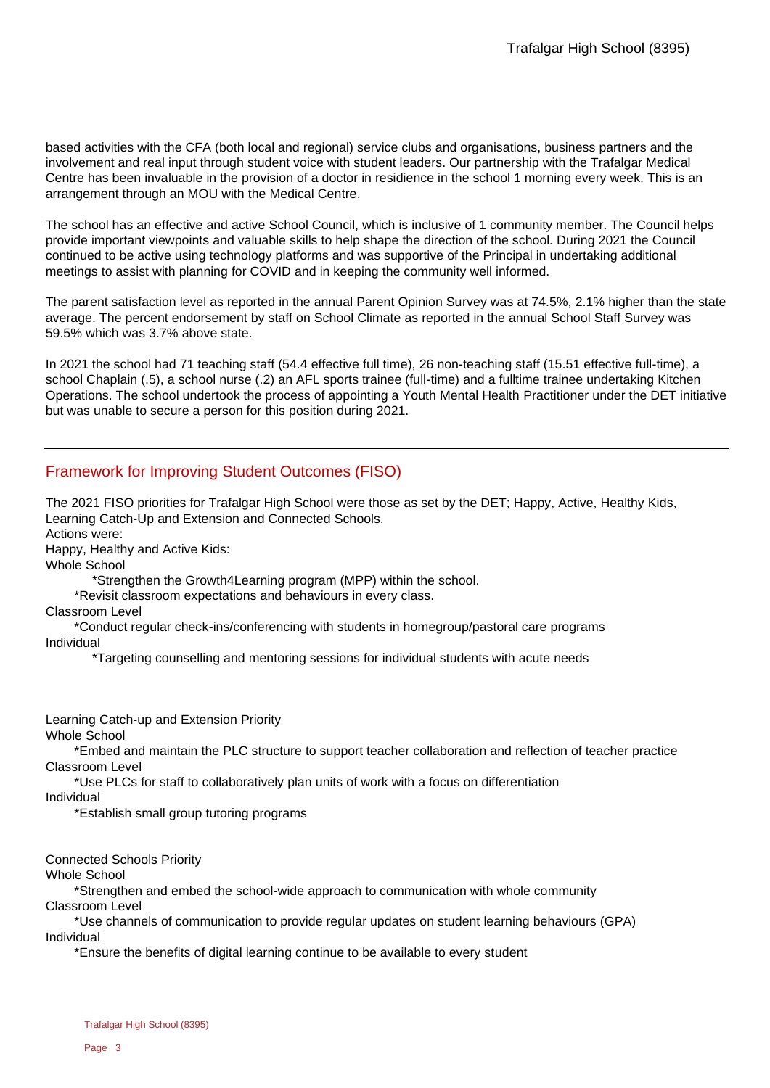based activities with the CFA (both local and regional) service clubs and organisations, business partners and the involvement and real input through student voice with student leaders. Our partnership with the Trafalgar Medical Centre has been invaluable in the provision of a doctor in residience in the school 1 morning every week. This is an arrangement through an MOU with the Medical Centre.

The school has an effective and active School Council, which is inclusive of 1 community member. The Council helps provide important viewpoints and valuable skills to help shape the direction of the school. During 2021 the Council continued to be active using technology platforms and was supportive of the Principal in undertaking additional meetings to assist with planning for COVID and in keeping the community well informed.

The parent satisfaction level as reported in the annual Parent Opinion Survey was at 74.5%, 2.1% higher than the state average. The percent endorsement by staff on School Climate as reported in the annual School Staff Survey was 59.5% which was 3.7% above state.

In 2021 the school had 71 teaching staff (54.4 effective full time), 26 non-teaching staff (15.51 effective full-time), a school Chaplain (.5), a school nurse (.2) an AFL sports trainee (full-time) and a fulltime trainee undertaking Kitchen Operations. The school undertook the process of appointing a Youth Mental Health Practitioner under the DET initiative but was unable to secure a person for this position during 2021.

#### Framework for Improving Student Outcomes (FISO)

The 2021 FISO priorities for Trafalgar High School were those as set by the DET; Happy, Active, Healthy Kids, Learning Catch-Up and Extension and Connected Schools.

Actions were:

Happy, Healthy and Active Kids:

Whole School

\*Strengthen the Growth4Learning program (MPP) within the school.

\*Revisit classroom expectations and behaviours in every class.

Classroom Level

 \*Conduct regular check-ins/conferencing with students in homegroup/pastoral care programs Individual

\*Targeting counselling and mentoring sessions for individual students with acute needs

Learning Catch-up and Extension Priority

Whole School

 \*Embed and maintain the PLC structure to support teacher collaboration and reflection of teacher practice Classroom Level

\*Use PLCs for staff to collaboratively plan units of work with a focus on differentiation

Individual

\*Establish small group tutoring programs

Connected Schools Priority

Whole School

 \*Strengthen and embed the school-wide approach to communication with whole community Classroom Level

 \*Use channels of communication to provide regular updates on student learning behaviours (GPA) Individual

\*Ensure the benefits of digital learning continue to be available to every student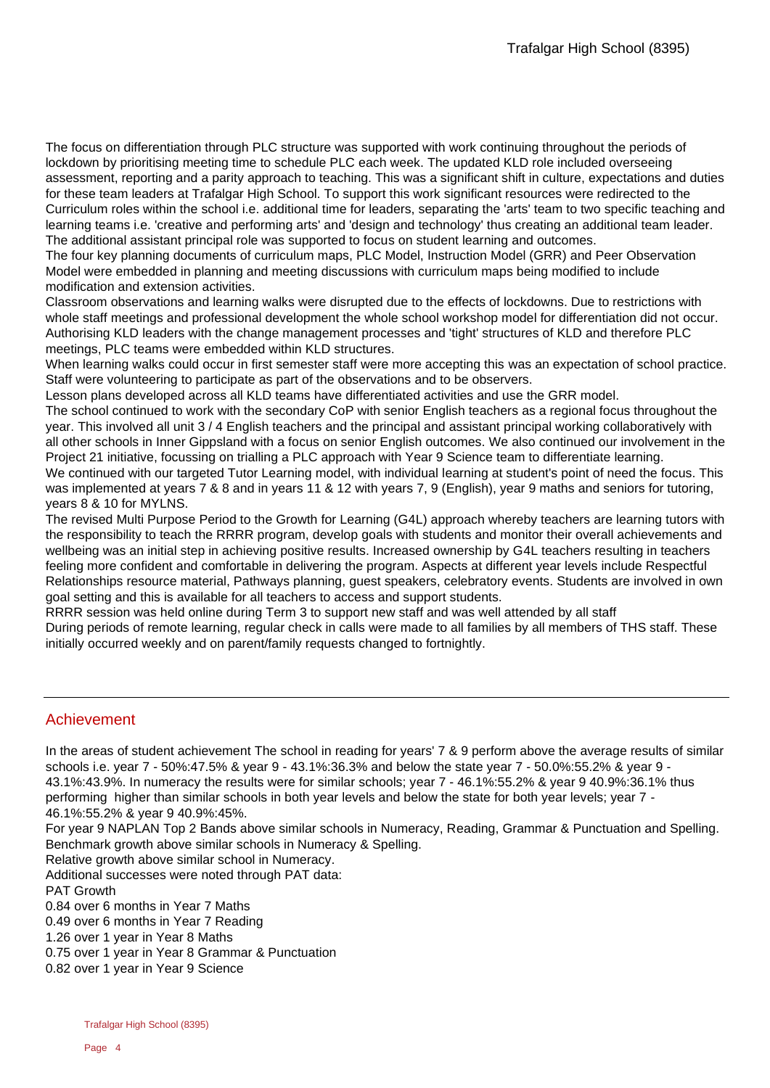The focus on differentiation through PLC structure was supported with work continuing throughout the periods of lockdown by prioritising meeting time to schedule PLC each week. The updated KLD role included overseeing assessment, reporting and a parity approach to teaching. This was a significant shift in culture, expectations and duties for these team leaders at Trafalgar High School. To support this work significant resources were redirected to the Curriculum roles within the school i.e. additional time for leaders, separating the 'arts' team to two specific teaching and learning teams i.e. 'creative and performing arts' and 'design and technology' thus creating an additional team leader. The additional assistant principal role was supported to focus on student learning and outcomes.

The four key planning documents of curriculum maps, PLC Model, Instruction Model (GRR) and Peer Observation Model were embedded in planning and meeting discussions with curriculum maps being modified to include modification and extension activities.

Classroom observations and learning walks were disrupted due to the effects of lockdowns. Due to restrictions with whole staff meetings and professional development the whole school workshop model for differentiation did not occur. Authorising KLD leaders with the change management processes and 'tight' structures of KLD and therefore PLC meetings, PLC teams were embedded within KLD structures.

When learning walks could occur in first semester staff were more accepting this was an expectation of school practice. Staff were volunteering to participate as part of the observations and to be observers.

Lesson plans developed across all KLD teams have differentiated activities and use the GRR model.

The school continued to work with the secondary CoP with senior English teachers as a regional focus throughout the year. This involved all unit 3 / 4 English teachers and the principal and assistant principal working collaboratively with all other schools in Inner Gippsland with a focus on senior English outcomes. We also continued our involvement in the Project 21 initiative, focussing on trialling a PLC approach with Year 9 Science team to differentiate learning.

We continued with our targeted Tutor Learning model, with individual learning at student's point of need the focus. This was implemented at years 7 & 8 and in years 11 & 12 with years 7, 9 (English), year 9 maths and seniors for tutoring, years 8 & 10 for MYLNS.

The revised Multi Purpose Period to the Growth for Learning (G4L) approach whereby teachers are learning tutors with the responsibility to teach the RRRR program, develop goals with students and monitor their overall achievements and wellbeing was an initial step in achieving positive results. Increased ownership by G4L teachers resulting in teachers feeling more confident and comfortable in delivering the program. Aspects at different year levels include Respectful Relationships resource material, Pathways planning, guest speakers, celebratory events. Students are involved in own goal setting and this is available for all teachers to access and support students.

RRRR session was held online during Term 3 to support new staff and was well attended by all staff During periods of remote learning, regular check in calls were made to all families by all members of THS staff. These initially occurred weekly and on parent/family requests changed to fortnightly.

#### Achievement

In the areas of student achievement The school in reading for years' 7 & 9 perform above the average results of similar schools i.e. year 7 - 50%:47.5% & year 9 - 43.1%:36.3% and below the state year 7 - 50.0%:55.2% & year 9 - 43.1%:43.9%. In numeracy the results were for similar schools; year 7 - 46.1%:55.2% & year 9 40.9%:36.1% thus performing higher than similar schools in both year levels and below the state for both year levels; year 7 - 46.1%:55.2% & year 9 40.9%:45%.

For year 9 NAPLAN Top 2 Bands above similar schools in Numeracy, Reading, Grammar & Punctuation and Spelling. Benchmark growth above similar schools in Numeracy & Spelling.

Relative growth above similar school in Numeracy.

Additional successes were noted through PAT data:

PAT Growth

0.84 over 6 months in Year 7 Maths

0.49 over 6 months in Year 7 Reading

1.26 over 1 year in Year 8 Maths

0.75 over 1 year in Year 8 Grammar & Punctuation

0.82 over 1 year in Year 9 Science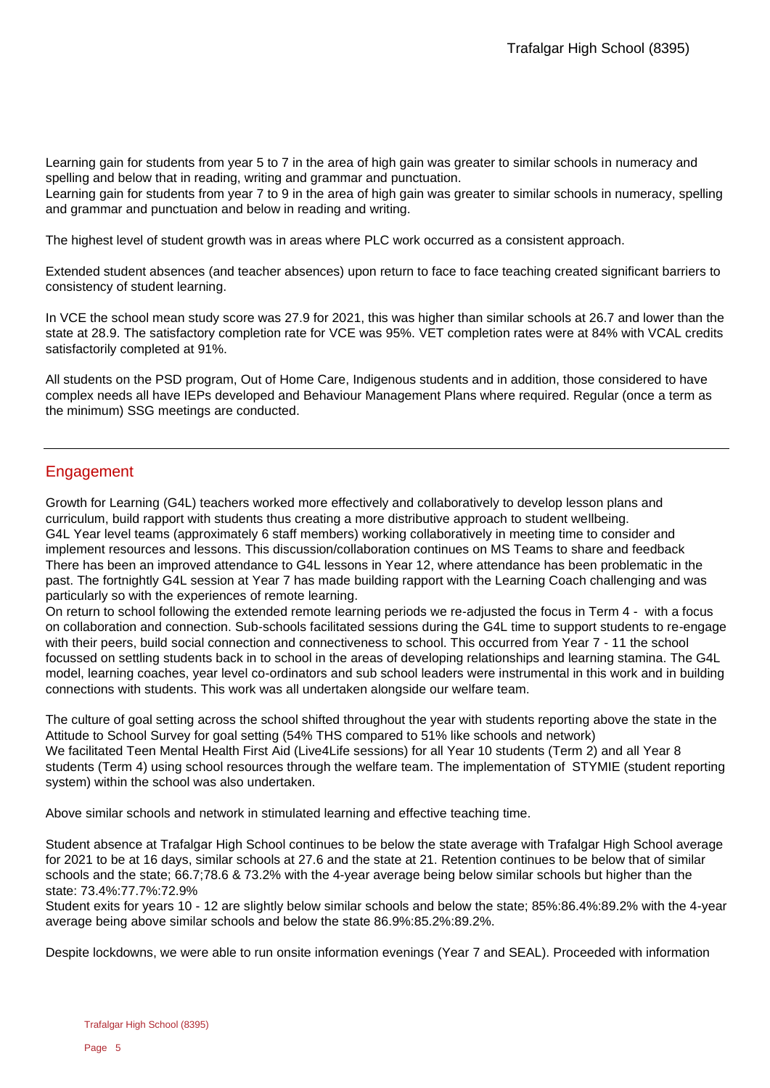Learning gain for students from year 5 to 7 in the area of high gain was greater to similar schools in numeracy and spelling and below that in reading, writing and grammar and punctuation.

Learning gain for students from year 7 to 9 in the area of high gain was greater to similar schools in numeracy, spelling and grammar and punctuation and below in reading and writing.

The highest level of student growth was in areas where PLC work occurred as a consistent approach.

Extended student absences (and teacher absences) upon return to face to face teaching created significant barriers to consistency of student learning.

In VCE the school mean study score was 27.9 for 2021, this was higher than similar schools at 26.7 and lower than the state at 28.9. The satisfactory completion rate for VCE was 95%. VET completion rates were at 84% with VCAL credits satisfactorily completed at 91%.

All students on the PSD program, Out of Home Care, Indigenous students and in addition, those considered to have complex needs all have IEPs developed and Behaviour Management Plans where required. Regular (once a term as the minimum) SSG meetings are conducted.

#### Engagement

Growth for Learning (G4L) teachers worked more effectively and collaboratively to develop lesson plans and curriculum, build rapport with students thus creating a more distributive approach to student wellbeing. G4L Year level teams (approximately 6 staff members) working collaboratively in meeting time to consider and implement resources and lessons. This discussion/collaboration continues on MS Teams to share and feedback There has been an improved attendance to G4L lessons in Year 12, where attendance has been problematic in the past. The fortnightly G4L session at Year 7 has made building rapport with the Learning Coach challenging and was particularly so with the experiences of remote learning.

On return to school following the extended remote learning periods we re-adjusted the focus in Term 4 - with a focus on collaboration and connection. Sub-schools facilitated sessions during the G4L time to support students to re-engage with their peers, build social connection and connectiveness to school. This occurred from Year 7 - 11 the school focussed on settling students back in to school in the areas of developing relationships and learning stamina. The G4L model, learning coaches, year level co-ordinators and sub school leaders were instrumental in this work and in building connections with students. This work was all undertaken alongside our welfare team.

The culture of goal setting across the school shifted throughout the year with students reporting above the state in the Attitude to School Survey for goal setting (54% THS compared to 51% like schools and network) We facilitated Teen Mental Health First Aid (Live4Life sessions) for all Year 10 students (Term 2) and all Year 8 students (Term 4) using school resources through the welfare team. The implementation of STYMIE (student reporting system) within the school was also undertaken.

Above similar schools and network in stimulated learning and effective teaching time.

Student absence at Trafalgar High School continues to be below the state average with Trafalgar High School average for 2021 to be at 16 days, similar schools at 27.6 and the state at 21. Retention continues to be below that of similar schools and the state; 66.7;78.6 & 73.2% with the 4-year average being below similar schools but higher than the state: 73.4%:77.7%:72.9%

Student exits for years 10 - 12 are slightly below similar schools and below the state; 85%:86.4%:89.2% with the 4-year average being above similar schools and below the state 86.9%:85.2%:89.2%.

Despite lockdowns, we were able to run onsite information evenings (Year 7 and SEAL). Proceeded with information